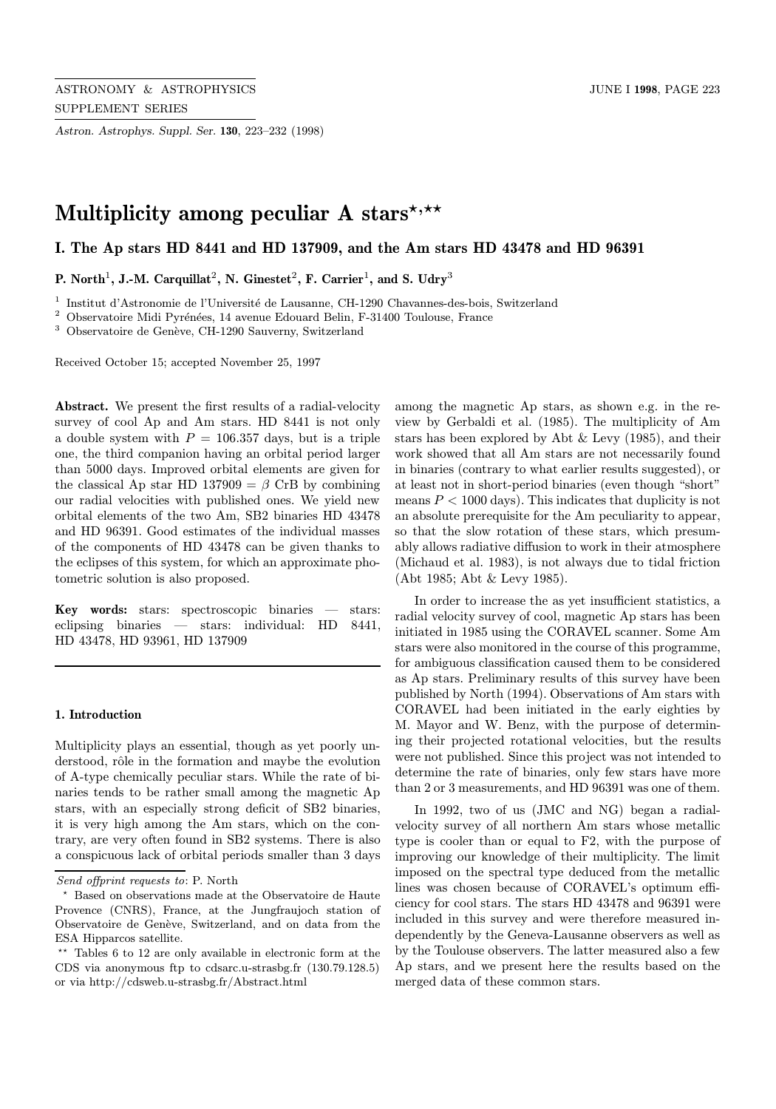Astron. Astrophys. Suppl. Ser. 130, 223–232 (1998)

# Multiplicity among peculiar A stars\*,\*\*

I. The Ap stars HD 8441 and HD 137909, and the Am stars HD 43478 and HD 96391

P. North<sup>1</sup>, J.-M. Carquillat<sup>2</sup>, N. Ginestet<sup>2</sup>, F. Carrier<sup>1</sup>, and S. Udry<sup>3</sup>

 $1$  Institut d'Astronomie de l'Université de Lausanne, CH-1290 Chavannes-des-bois, Switzerland

 $^{\rm 2}$  Observatoire Midi Pyrénées, 14 avenue Edouard Belin, F-31400 Toulouse, France

 $3$  Observatoire de Genève, CH-1290 Sauverny, Switzerland

Received October 15; accepted November 25, 1997

Abstract. We present the first results of a radial-velocity survey of cool Ap and Am stars. HD 8441 is not only a double system with  $P = 106.357$  days, but is a triple one, the third companion having an orbital period larger than 5000 days. Improved orbital elements are given for the classical Ap star HD 137909 =  $\beta$  CrB by combining our radial velocities with published ones. We yield new orbital elements of the two Am, SB2 binaries HD 43478 and HD 96391. Good estimates of the individual masses of the components of HD 43478 can be given thanks to the eclipses of this system, for which an approximate photometric solution is also proposed.

Key words: stars: spectroscopic binaries — stars: eclipsing binaries — stars: individual: HD 8441, HD 43478, HD 93961, HD 137909

## 1. Introduction

Multiplicity plays an essential, though as yet poorly understood, rôle in the formation and maybe the evolution of A-type chemically peculiar stars. While the rate of binaries tends to be rather small among the magnetic Ap stars, with an especially strong deficit of SB2 binaries, it is very high among the Am stars, which on the contrary, are very often found in SB2 systems. There is also a conspicuous lack of orbital periods smaller than 3 days among the magnetic Ap stars, as shown e.g. in the review by Gerbaldi et al. (1985). The multiplicity of Am stars has been explored by Abt & Levy (1985), and their work showed that all Am stars are not necessarily found in binaries (contrary to what earlier results suggested), or at least not in short-period binaries (even though "short" means  $P < 1000$  days). This indicates that duplicity is not an absolute prerequisite for the Am peculiarity to appear, so that the slow rotation of these stars, which presumably allows radiative diffusion to work in their atmosphere (Michaud et al. 1983), is not always due to tidal friction (Abt 1985; Abt & Levy 1985).

In order to increase the as yet insufficient statistics, a radial velocity survey of cool, magnetic Ap stars has been initiated in 1985 using the CORAVEL scanner. Some Am stars were also monitored in the course of this programme, for ambiguous classification caused them to be considered as Ap stars. Preliminary results of this survey have been published by North (1994). Observations of Am stars with CORAVEL had been initiated in the early eighties by M. Mayor and W. Benz, with the purpose of determining their projected rotational velocities, but the results were not published. Since this project was not intended to determine the rate of binaries, only few stars have more than 2 or 3 measurements, and HD 96391 was one of them.

In 1992, two of us (JMC and NG) began a radialvelocity survey of all northern Am stars whose metallic type is cooler than or equal to F2, with the purpose of improving our knowledge of their multiplicity. The limit imposed on the spectral type deduced from the metallic lines was chosen because of CORAVEL's optimum efficiency for cool stars. The stars HD 43478 and 96391 were included in this survey and were therefore measured independently by the Geneva-Lausanne observers as well as by the Toulouse observers. The latter measured also a few Ap stars, and we present here the results based on the merged data of these common stars.

Send offprint requests to: P. North

<sup>?</sup> Based on observations made at the Observatoire de Haute Provence (CNRS), France, at the Jungfraujoch station of Observatoire de Genève, Switzerland, and on data from the ESA Hipparcos satellite.

 $**$  Tables 6 to 12 are only available in electronic form at the CDS via anonymous ftp to cdsarc.u-strasbg.fr (130.79.128.5) or via http://cdsweb.u-strasbg.fr/Abstract.html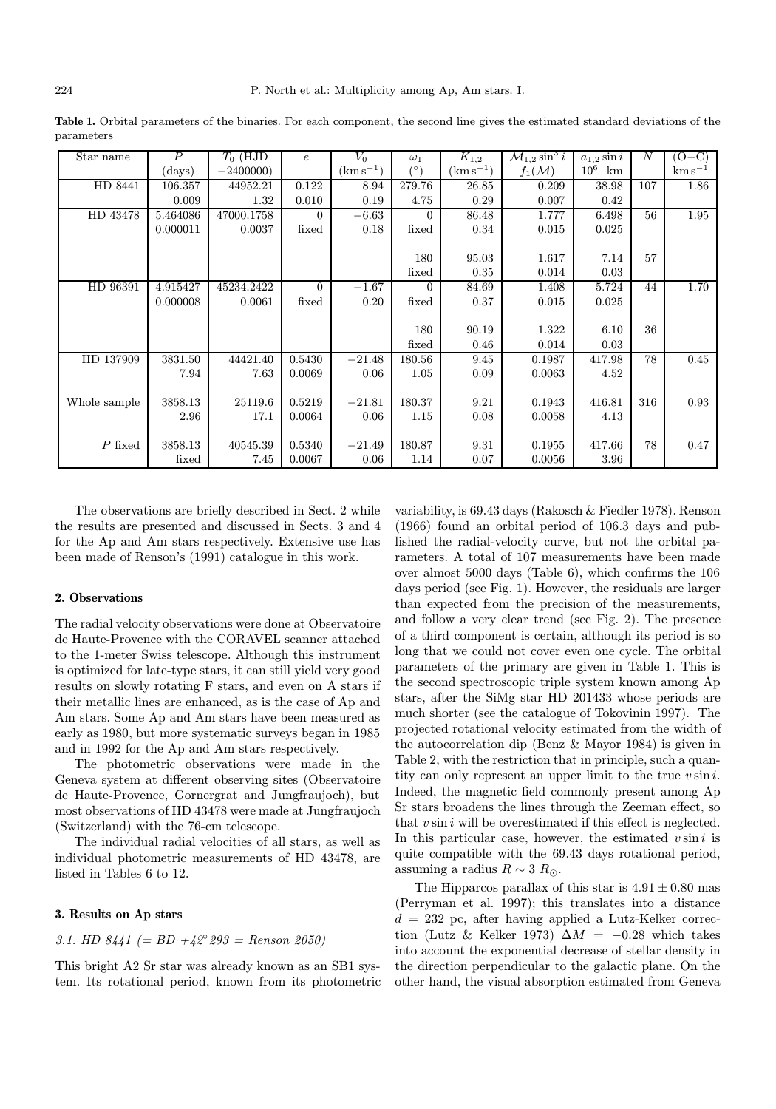Table 1. Orbital parameters of the binaries. For each component, the second line gives the estimated standard deviations of the parameters

| Star name    | $\boldsymbol{P}$ | $T_0$ (HJD | $\epsilon$ | $V_0$        | $\omega_1$ | $K_{1,2}$     | $\mathcal{M}_{1,2}\sin^3 i$ | $a_{1,2}$ sin i | N   | $(O-C)$               |
|--------------|------------------|------------|------------|--------------|------------|---------------|-----------------------------|-----------------|-----|-----------------------|
|              | (days)           | $-2400000$ |            | $(kms^{-1})$ |            | $(km s^{-1})$ | $f_1(\mathcal{M})$          | $10^6$<br>km    |     | $\mathrm{km\,s}^{-1}$ |
| HD 8441      | 106.357          | 44952.21   | 0.122      | 8.94         | 279.76     | 26.85         | 0.209                       | 38.98           | 107 | 1.86                  |
|              | 0.009            | 1.32       | 0.010      | 0.19         | 4.75       | 0.29          | 0.007                       | 0.42            |     |                       |
| HD 43478     | 5.464086         | 47000.1758 | $\Omega$   | $-6.63$      | $\Omega$   | 86.48         | 1.777                       | 6.498           | 56  | 1.95                  |
|              | 0.000011         | 0.0037     | fixed      | 0.18         | fixed      | 0.34          | 0.015                       | 0.025           |     |                       |
|              |                  |            |            |              |            |               |                             |                 |     |                       |
|              |                  |            |            |              | 180        | 95.03         | 1.617                       | 7.14            | 57  |                       |
|              |                  |            |            |              | fixed      | 0.35          | 0.014                       | 0.03            |     |                       |
| HD 96391     | 4.915427         | 45234.2422 | $\Omega$   | $-1.67$      | $\Omega$   | 84.69         | 1.408                       | 5.724           | 44  | 1.70                  |
|              | 0.000008         | 0.0061     | fixed      | 0.20         | fixed      | 0.37          | 0.015                       | 0.025           |     |                       |
|              |                  |            |            |              |            |               |                             |                 |     |                       |
|              |                  |            |            |              | 180        | 90.19         | 1.322                       | 6.10            | 36  |                       |
|              |                  |            |            |              | fixed      | 0.46          | 0.014                       | 0.03            |     |                       |
| HD 137909    | 3831.50          | 44421.40   | 0.5430     | $-21.48$     | 180.56     | 9.45          | 0.1987                      | 417.98          | 78  | 0.45                  |
|              | 7.94             | 7.63       | 0.0069     | 0.06         | 1.05       | 0.09          | 0.0063                      | 4.52            |     |                       |
|              |                  |            |            |              |            |               |                             |                 |     |                       |
| Whole sample | 3858.13          | 25119.6    | 0.5219     | $-21.81$     | 180.37     | 9.21          | 0.1943                      | 416.81          | 316 | 0.93                  |
|              | 2.96             | 17.1       | 0.0064     | 0.06         | 1.15       | 0.08          | 0.0058                      | 4.13            |     |                       |
|              |                  |            |            |              |            |               |                             |                 |     |                       |
| $P$ fixed    | 3858.13          | 40545.39   | 0.5340     | $-21.49$     | 180.87     | 9.31          | 0.1955                      | 417.66          | 78  | 0.47                  |
|              | fixed            | 7.45       | 0.0067     | 0.06         | 1.14       | 0.07          | 0.0056                      | 3.96            |     |                       |

The observations are briefly described in Sect. 2 while the results are presented and discussed in Sects. 3 and 4 for the Ap and Am stars respectively. Extensive use has been made of Renson's (1991) catalogue in this work.

#### 2. Observations

The radial velocity observations were done at Observatoire de Haute-Provence with the CORAVEL scanner attached to the 1-meter Swiss telescope. Although this instrument is optimized for late-type stars, it can still yield very good results on slowly rotating F stars, and even on A stars if their metallic lines are enhanced, as is the case of Ap and Am stars. Some Ap and Am stars have been measured as early as 1980, but more systematic surveys began in 1985 and in 1992 for the Ap and Am stars respectively.

The photometric observations were made in the Geneva system at different observing sites (Observatoire de Haute-Provence, Gornergrat and Jungfraujoch), but most observations of HD 43478 were made at Jungfraujoch (Switzerland) with the 76-cm telescope.

The individual radial velocities of all stars, as well as individual photometric measurements of HD 43478, are listed in Tables 6 to 12.

## 3. Results on Ap stars

## 3.1. HD  $8441$  (= BD  $+42^{\circ} 293$  = Renson 2050)

This bright A2 Sr star was already known as an SB1 system. Its rotational period, known from its photometric variability, is 69.43 days (Rakosch & Fiedler 1978). Renson (1966) found an orbital period of 106.3 days and published the radial-velocity curve, but not the orbital parameters. A total of 107 measurements have been made over almost 5000 days (Table 6), which confirms the 106 days period (see Fig. 1). However, the residuals are larger than expected from the precision of the measurements, and follow a very clear trend (see Fig. 2). The presence of a third component is certain, although its period is so long that we could not cover even one cycle. The orbital parameters of the primary are given in Table 1. This is the second spectroscopic triple system known among Ap stars, after the SiMg star HD 201433 whose periods are much shorter (see the catalogue of Tokovinin 1997). The projected rotational velocity estimated from the width of the autocorrelation dip (Benz & Mayor 1984) is given in Table 2, with the restriction that in principle, such a quantity can only represent an upper limit to the true  $v \sin i$ . Indeed, the magnetic field commonly present among Ap Sr stars broadens the lines through the Zeeman effect, so that  $v \sin i$  will be overestimated if this effect is neglected. In this particular case, however, the estimated  $v \sin i$  is quite compatible with the 69.43 days rotational period, assuming a radius  $R \sim 3 R_{\odot}$ .

The Hipparcos parallax of this star is  $4.91 \pm 0.80$  mas (Perryman et al. 1997); this translates into a distance  $d = 232$  pc, after having applied a Lutz-Kelker correction (Lutz & Kelker 1973)  $\Delta M = -0.28$  which takes into account the exponential decrease of stellar density in the direction perpendicular to the galactic plane. On the other hand, the visual absorption estimated from Geneva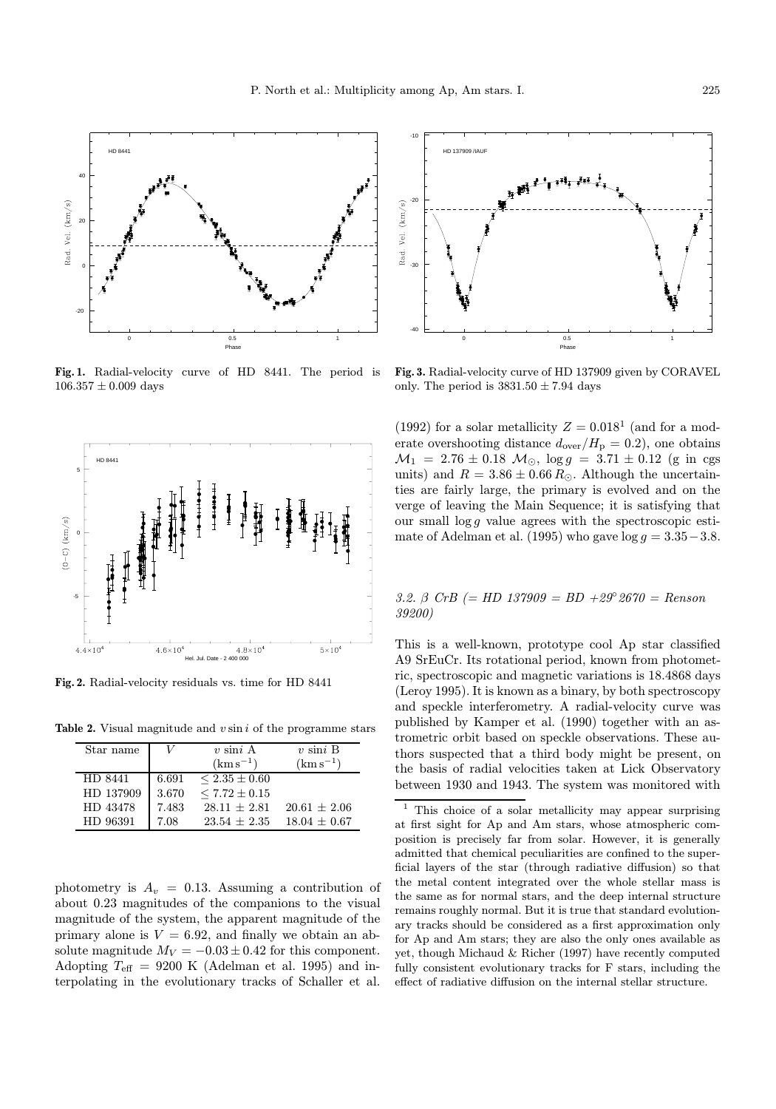

Fig. 1. Radial-velocity curve of HD 8441. The period is  $106.357 \pm 0.009$  days



Fig. 2. Radial-velocity residuals vs. time for HD 8441

Table 2. Visual magnitude and  $v \sin i$  of the programme stars

| Star name |       | $v \sin i A$      | $v \sin i B$     |
|-----------|-------|-------------------|------------------|
|           |       | $(km s^{-1})$     | $(km s^{-1})$    |
| HD 8441   | 6.691 | $< 2.35 \pm 0.60$ |                  |
| HD 137909 | 3.670 | $< 7.72 \pm 0.15$ |                  |
| HD 43478  | 7.483 | $28.11 + 2.81$    | $20.61 \pm 2.06$ |
| HD 96391  | 7.08  | $23.54 + 2.35$    | $18.04 \pm 0.67$ |

photometry is  $A_v = 0.13$ . Assuming a contribution of about 0.23 magnitudes of the companions to the visual magnitude of the system, the apparent magnitude of the primary alone is  $V = 6.92$ , and finally we obtain an absolute magnitude  $M_V = -0.03 \pm 0.42$  for this component. Adopting  $T_{\text{eff}}$  = 9200 K (Adelman et al. 1995) and interpolating in the evolutionary tracks of Schaller et al.



Fig. 3. Radial-velocity curve of HD 137909 given by CORAVEL only. The period is  $3831.50 \pm 7.94$  days

(1992) for a solar metallicity  $Z = 0.018<sup>1</sup>$  (and for a moderate overshooting distance  $d_{over}/H_p = 0.2$ , one obtains  $M_1$  = 2.76 ± 0.18  $M_{\odot}$ , log  $g = 3.71 \pm 0.12$  (g in cgs units) and  $R = 3.86 \pm 0.66 R_{\odot}$ . Although the uncertainties are fairly large, the primary is evolved and on the verge of leaving the Main Sequence; it is satisfying that our small  $\log q$  value agrees with the spectroscopic estimate of Adelman et al. (1995) who gave  $log\ g = 3.35-3.8$ .

#### 3.2. β CrB (= HD 137909 = BD +29°2670 = Renson 39200)

This is a well-known, prototype cool Ap star classified A9 SrEuCr. Its rotational period, known from photometric, spectroscopic and magnetic variations is 18.4868 days (Leroy 1995). It is known as a binary, by both spectroscopy and speckle interferometry. A radial-velocity curve was published by Kamper et al. (1990) together with an astrometric orbit based on speckle observations. These authors suspected that a third body might be present, on the basis of radial velocities taken at Lick Observatory between 1930 and 1943. The system was monitored with

<sup>1</sup> This choice of a solar metallicity may appear surprising at first sight for Ap and Am stars, whose atmospheric composition is precisely far from solar. However, it is generally admitted that chemical peculiarities are confined to the superficial layers of the star (through radiative diffusion) so that the metal content integrated over the whole stellar mass is the same as for normal stars, and the deep internal structure remains roughly normal. But it is true that standard evolutionary tracks should be considered as a first approximation only for Ap and Am stars; they are also the only ones available as yet, though Michaud & Richer (1997) have recently computed fully consistent evolutionary tracks for F stars, including the effect of radiative diffusion on the internal stellar structure.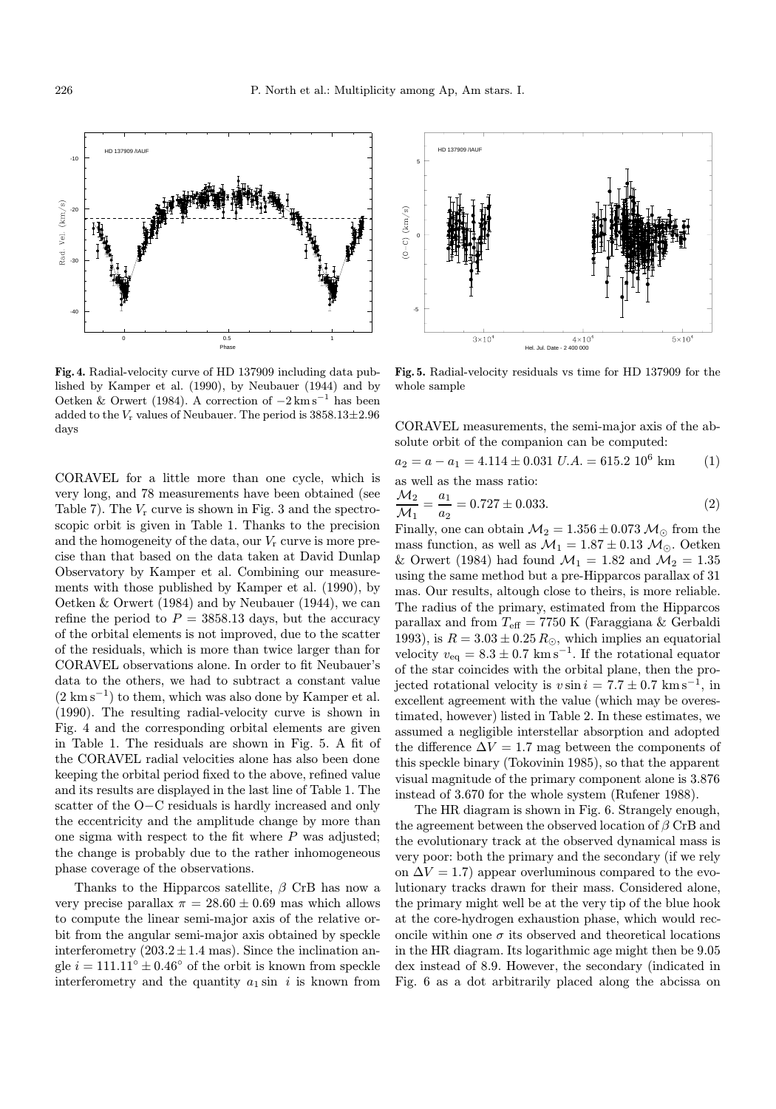

Fig. 4. Radial-velocity curve of HD 137909 including data published by Kamper et al. (1990), by Neubauer (1944) and by Oetken & Orwert (1984). A correction of  $-2 \text{ km s}^{-1}$  has been added to the  $V_r$  values of Neubauer. The period is  $3858.13 \pm 2.96$ days

CORAVEL for a little more than one cycle, which is very long, and 78 measurements have been obtained (see Table 7). The  $V_r$  curve is shown in Fig. 3 and the spectroscopic orbit is given in Table 1. Thanks to the precision and the homogeneity of the data, our  $V_r$  curve is more precise than that based on the data taken at David Dunlap Observatory by Kamper et al. Combining our measurements with those published by Kamper et al. (1990), by Oetken & Orwert (1984) and by Neubauer (1944), we can refine the period to  $P = 3858.13$  days, but the accuracy of the orbital elements is not improved, due to the scatter of the residuals, which is more than twice larger than for CORAVEL observations alone. In order to fit Neubauer's data to the others, we had to subtract a constant value  $(2 \text{ km s}^{-1})$  to them, which was also done by Kamper et al. (1990). The resulting radial-velocity curve is shown in Fig. 4 and the corresponding orbital elements are given in Table 1. The residuals are shown in Fig. 5. A fit of the CORAVEL radial velocities alone has also been done keeping the orbital period fixed to the above, refined value and its results are displayed in the last line of Table 1. The scatter of the O−C residuals is hardly increased and only the eccentricity and the amplitude change by more than one sigma with respect to the fit where  $P$  was adjusted; the change is probably due to the rather inhomogeneous phase coverage of the observations.

Thanks to the Hipparcos satellite,  $\beta$  CrB has now a very precise parallax  $\pi = 28.60 \pm 0.69$  mas which allows to compute the linear semi-major axis of the relative orbit from the angular semi-major axis obtained by speckle interferometry  $(203.2 \pm 1.4 \text{ mas})$ . Since the inclination angle  $i = 111.11° \pm 0.46°$  of the orbit is known from speckle interferometry and the quantity  $a_1 \sin i$  is known from



Fig. 5. Radial-velocity residuals vs time for HD 137909 for the whole sample

CORAVEL measurements, the semi-major axis of the absolute orbit of the companion can be computed:

$$
a_2 = a - a_1 = 4.114 \pm 0.031 \text{ U.A.} = 615.2 \ 10^6 \text{ km} \tag{1}
$$
  
as well as the mass ratio:

$$
\frac{\mathcal{M}_2}{\mathcal{M}_1} = \frac{a_1}{a_2} = 0.727 \pm 0.033. \tag{2}
$$

Finally, one can obtain  $\mathcal{M}_2 = 1.356 \pm 0.073 \mathcal{M}_{\odot}$  from the mass function, as well as  $\mathcal{M}_1 = 1.87 \pm 0.13~\mathcal{M}_\odot$  . Oetken & Orwert (1984) had found  $\mathcal{M}_1 = 1.82$  and  $\mathcal{M}_2 = 1.35$ using the same method but a pre-Hipparcos parallax of 31 mas. Our results, altough close to theirs, is more reliable. The radius of the primary, estimated from the Hipparcos parallax and from  $T_{\text{eff}} = 7750 \text{ K}$  (Faraggiana & Gerbaldi 1993), is  $R = 3.03 \pm 0.25 R_{\odot}$ , which implies an equatorial velocity  $v_{\text{eq}} = 8.3 \pm 0.7 \text{ km s}^{-1}$ . If the rotational equator of the star coincides with the orbital plane, then the projected rotational velocity is  $v \sin i = 7.7 \pm 0.7$  km s<sup>-1</sup>, in excellent agreement with the value (which may be overestimated, however) listed in Table 2. In these estimates, we assumed a negligible interstellar absorption and adopted the difference  $\Delta V = 1.7$  mag between the components of this speckle binary (Tokovinin 1985), so that the apparent visual magnitude of the primary component alone is 3.876 instead of 3.670 for the whole system (Rufener 1988).

The HR diagram is shown in Fig. 6. Strangely enough, the agreement between the observed location of  $\beta$  CrB and the evolutionary track at the observed dynamical mass is very poor: both the primary and the secondary (if we rely on  $\Delta V = 1.7$  appear overluminous compared to the evolutionary tracks drawn for their mass. Considered alone, the primary might well be at the very tip of the blue hook at the core-hydrogen exhaustion phase, which would reconcile within one  $\sigma$  its observed and theoretical locations in the HR diagram. Its logarithmic age might then be 9.05 dex instead of 8.9. However, the secondary (indicated in Fig. 6 as a dot arbitrarily placed along the abcissa on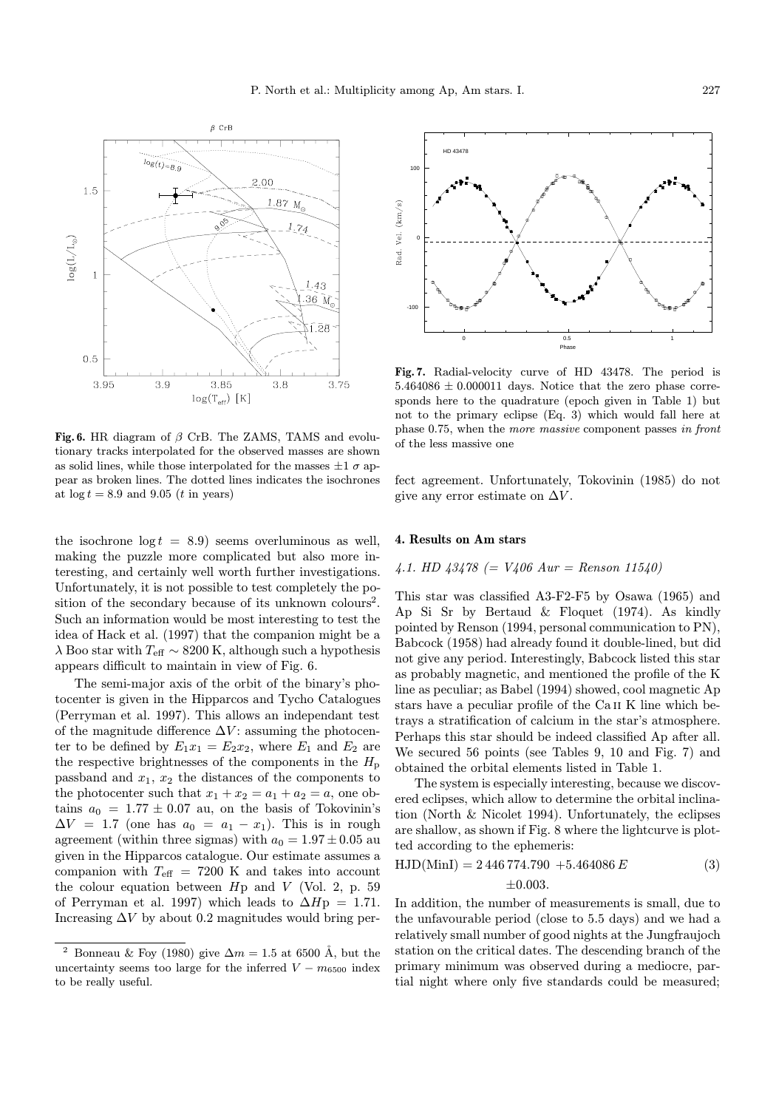

Fig. 6. HR diagram of  $\beta$  CrB. The ZAMS, TAMS and evolutionary tracks interpolated for the observed masses are shown as solid lines, while those interpolated for the masses  $\pm 1 \sigma$  appear as broken lines. The dotted lines indicates the isochrones at  $\log t = 8.9$  and  $9.05$  (*t* in years)

the isochrone  $log t = 8.9$ ) seems overluminous as well, making the puzzle more complicated but also more interesting, and certainly well worth further investigations. Unfortunately, it is not possible to test completely the position of the secondary because of its unknown colours<sup>2</sup>. Such an information would be most interesting to test the idea of Hack et al. (1997) that the companion might be a  $\lambda$  Boo star with  $T_{\text{eff}}$   $\sim8200$  K, although such a hypothesis appears difficult to maintain in view of Fig. 6.

The semi-major axis of the orbit of the binary's photocenter is given in the Hipparcos and Tycho Catalogues (Perryman et al. 1997). This allows an independant test of the magnitude difference  $\Delta V$ : assuming the photocenter to be defined by  $E_1x_1 = E_2x_2$ , where  $E_1$  and  $E_2$  are the respective brightnesses of the components in the  $H_{\rm p}$ passband and  $x_1, x_2$  the distances of the components to the photocenter such that  $x_1 + x_2 = a_1 + a_2 = a$ , one obtains  $a_0 = 1.77 \pm 0.07$  au, on the basis of Tokovinin's  $\Delta V = 1.7$  (one has  $a_0 = a_1 - x_1$ ). This is in rough agreement (within three sigmas) with  $a_0 = 1.97 \pm 0.05$  au given in the Hipparcos catalogue. Our estimate assumes a companion with  $T_{\text{eff}}$  = 7200 K and takes into account the colour equation between  $Hp$  and  $V$  (Vol. 2, p. 59) of Perryman et al. 1997) which leads to  $\Delta H_{\rm p}=1.71$ . Increasing  $\Delta V$  by about 0.2 magnitudes would bring per-



Fig. 7. Radial-velocity curve of HD 43478. The period is  $5.464086 \pm 0.000011$  days. Notice that the zero phase corresponds here to the quadrature (epoch given in Table 1) but not to the primary eclipse (Eq. 3) which would fall here at phase 0.75, when the more massive component passes in front of the less massive one

fect agreement. Unfortunately, Tokovinin (1985) do not give any error estimate on  $\Delta V$ .

#### 4. Results on Am stars

## 4.1. HD  $43478$  (=  $V406$  Aur = Renson 11540)

This star was classified A3-F2-F5 by Osawa (1965) and Ap Si Sr by Bertaud & Floquet (1974). As kindly pointed by Renson (1994, personal communication to PN), Babcock (1958) had already found it double-lined, but did not give any period. Interestingly, Babcock listed this star as probably magnetic, and mentioned the profile of the K line as peculiar; as Babel (1994) showed, cool magnetic Ap stars have a peculiar profile of the Ca ii K line which betrays a stratification of calcium in the star's atmosphere. Perhaps this star should be indeed classified Ap after all. We secured 56 points (see Tables 9, 10 and Fig. 7) and obtained the orbital elements listed in Table 1.

The system is especially interesting, because we discovered eclipses, which allow to determine the orbital inclination (North & Nicolet 1994). Unfortunately, the eclipses are shallow, as shown if Fig. 8 where the lightcurve is plotted according to the ephemeris:

$$
HJD(MinI) = 2446774.790 + 5.464086 E
$$
  
\n
$$
\pm 0.003.
$$
 (3)

In addition, the number of measurements is small, due to the unfavourable period (close to 5.5 days) and we had a relatively small number of good nights at the Jungfraujoch station on the critical dates. The descending branch of the primary minimum was observed during a mediocre, partial night where only five standards could be measured;

Bonneau & Foy (1980) give  $\Delta m = 1.5$  at 6500 Å, but the uncertainty seems too large for the inferred  $V - m_{6500}$  index to be really useful.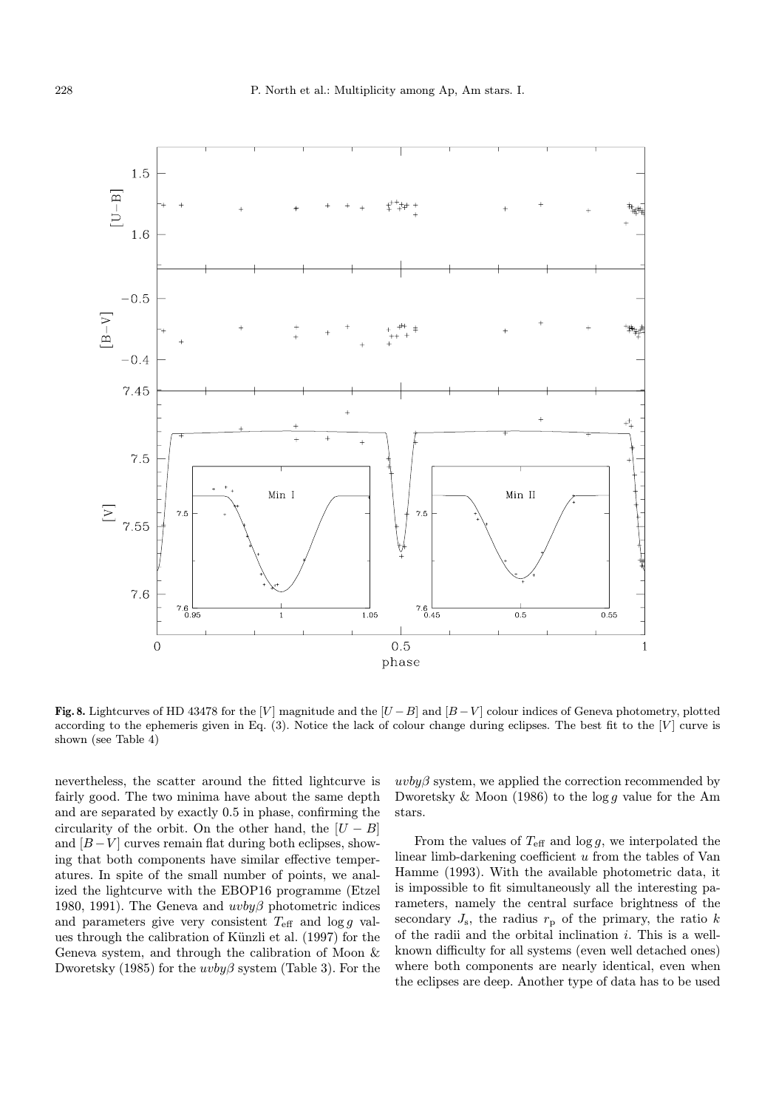

Fig. 8. Lightcurves of HD 43478 for the [V] magnitude and the [U – B] and  $[B-V]$  colour indices of Geneva photometry, plotted according to the ephemeris given in Eq.  $(3)$ . Notice the lack of colour change during eclipses. The best fit to the [V] curve is shown (see Table 4)

nevertheless, the scatter around the fitted lightcurve is fairly good. The two minima have about the same depth and are separated by exactly 0.5 in phase, confirming the circularity of the orbit. On the other hand, the  $|U - B|$ and  $[B-V]$  curves remain flat during both eclipses, showing that both components have similar effective temperatures. In spite of the small number of points, we analized the lightcurve with the EBOP16 programme (Etzel 1980, 1991). The Geneva and  $uvby\beta$  photometric indices and parameters give very consistent  $T_{\text{eff}}$  and  $\log g$  values through the calibration of Künzli et al. (1997) for the Geneva system, and through the calibration of Moon & Dworetsky (1985) for the  $uvby\beta$  system (Table 3). For the

 $uvby\beta$  system, we applied the correction recommended by Dworetsky  $\&$  Moon (1986) to the log g value for the Am stars.

From the values of  $T_{\text{eff}}$  and  $\log g$ , we interpolated the linear limb-darkening coefficient u from the tables of Van Hamme (1993). With the available photometric data, it is impossible to fit simultaneously all the interesting parameters, namely the central surface brightness of the secondary  $J_{\rm s}$ , the radius  $r_{\rm p}$  of the primary, the ratio k of the radii and the orbital inclination  $i$ . This is a wellknown difficulty for all systems (even well detached ones) where both components are nearly identical, even when the eclipses are deep. Another type of data has to be used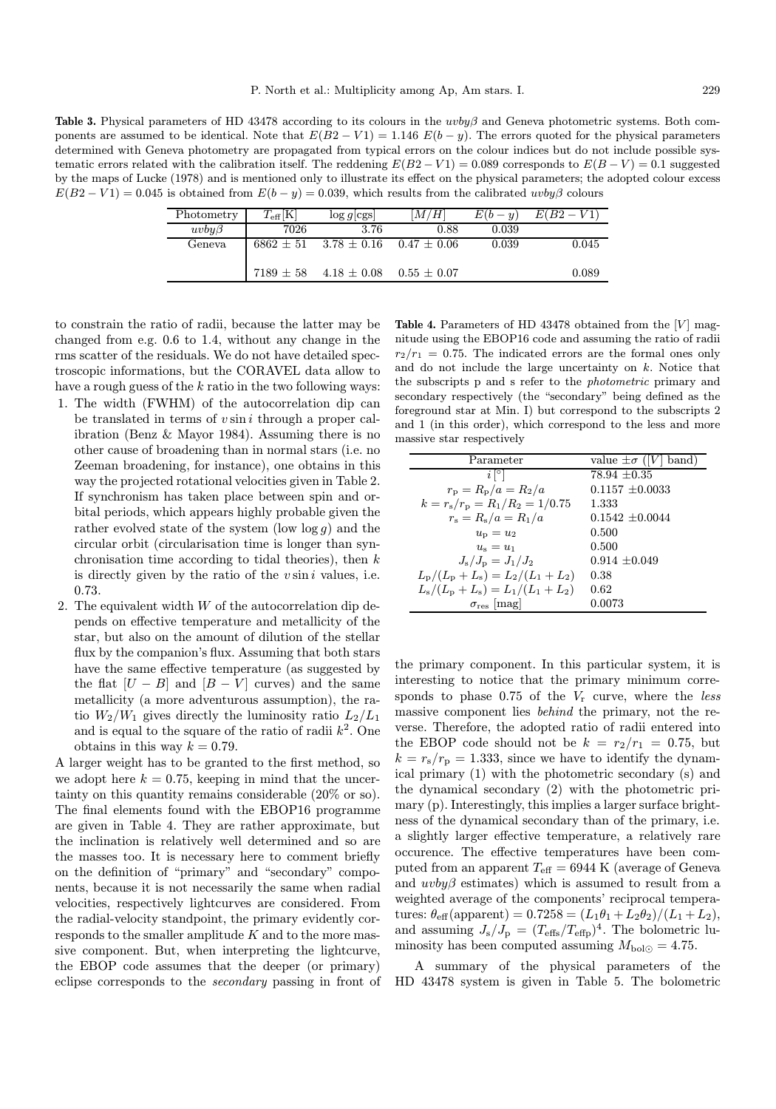Table 3. Physical parameters of HD 43478 according to its colours in the uvby  $\beta$  and Geneva photometric systems. Both components are assumed to be identical. Note that  $E(B2 - V1) = 1.146 E(b - y)$ . The errors quoted for the physical parameters determined with Geneva photometry are propagated from typical errors on the colour indices but do not include possible systematic errors related with the calibration itself. The reddening  $E(B2 - V1) = 0.089$  corresponds to  $E(B - V) = 0.1$  suggested by the maps of Lucke (1978) and is mentioned only to illustrate its effect on the physical parameters; the adopted colour excess  $E(B2 - V1) = 0.045$  is obtained from  $E(b - y) = 0.039$ , which results from the calibrated uvby $\beta$  colours

| Photometry  | $T_{\rm eff}[\rm K]$ | $\log g$ cgs      | M/H               | $E(b-u)$ | $E(B2-V1)$ |
|-------------|----------------------|-------------------|-------------------|----------|------------|
| $uvby\beta$ | 7026                 | 3.76              | 0.88              | 0.039    |            |
| Geneva      | $6862 \pm 51$        | $3.78\,\pm\,0.16$ | $0.47 \pm 0.06$   | 0.039    | 0.045      |
|             | $7189 \pm 58$        | $4.18 \pm 0.08$   | $0.55\,\pm\,0.07$ |          | 0.089      |

to constrain the ratio of radii, because the latter may be changed from e.g. 0.6 to 1.4, without any change in the rms scatter of the residuals. We do not have detailed spectroscopic informations, but the CORAVEL data allow to have a rough guess of the  $k$  ratio in the two following ways:

- 1. The width (FWHM) of the autocorrelation dip can be translated in terms of  $v \sin i$  through a proper calibration (Benz & Mayor 1984). Assuming there is no other cause of broadening than in normal stars (i.e. no Zeeman broadening, for instance), one obtains in this way the projected rotational velocities given in Table 2. If synchronism has taken place between spin and orbital periods, which appears highly probable given the rather evolved state of the system (low  $log g$ ) and the circular orbit (circularisation time is longer than synchronisation time according to tidal theories), then  $k$ is directly given by the ratio of the  $v \sin i$  values, i.e. 0.73.
- 2. The equivalent width  $W$  of the autocorrelation dip depends on effective temperature and metallicity of the star, but also on the amount of dilution of the stellar flux by the companion's flux. Assuming that both stars have the same effective temperature (as suggested by the flat  $[U - B]$  and  $[B - V]$  curves) and the same metallicity (a more adventurous assumption), the ratio  $W_2/W_1$  gives directly the luminosity ratio  $L_2/L_1$ and is equal to the square of the ratio of radii  $k^2$ . One obtains in this way  $k = 0.79$ .

A larger weight has to be granted to the first method, so we adopt here  $k = 0.75$ , keeping in mind that the uncertainty on this quantity remains considerable (20% or so). The final elements found with the EBOP16 programme are given in Table 4. They are rather approximate, but the inclination is relatively well determined and so are the masses too. It is necessary here to comment briefly on the definition of "primary" and "secondary" components, because it is not necessarily the same when radial velocities, respectively lightcurves are considered. From the radial-velocity standpoint, the primary evidently corresponds to the smaller amplitude  $K$  and to the more massive component. But, when interpreting the lightcurve, the EBOP code assumes that the deeper (or primary) eclipse corresponds to the secondary passing in front of

Table 4. Parameters of HD 43478 obtained from the  $[V]$  magnitude using the EBOP16 code and assuming the ratio of radii  $r_2/r_1 = 0.75$ . The indicated errors are the formal ones only and do not include the large uncertainty on k. Notice that the subscripts p and s refer to the photometric primary and secondary respectively (the "secondary" being defined as the foreground star at Min. I) but correspond to the subscripts 2 and 1 (in this order), which correspond to the less and more massive star respectively

| Parameter                                       | value $\pm \sigma$ ( V  band) |
|-------------------------------------------------|-------------------------------|
| $i^{\circ}$                                     | $78.94 \pm 0.35$              |
| $r_{\rm p} = R_{\rm p}/a = R_2/a$               | $0.1157 + 0.0033$             |
| $k = r_{\rm s}/r_{\rm p} = R_1/R_2 = 1/0.75$    | 1.333                         |
| $r_{\rm s} = R_{\rm s}/a = R_1/a$               | $0.1542 + 0.0044$             |
| $u_{\rm p} = u_2$                               | 0.500                         |
| $u_{\rm s}=u_1$                                 | 0.500                         |
| $J_{\rm s}/J_{\rm p} = J_1/J_2$                 | $0.914 + 0.049$               |
| $L_{\rm p}/(L_{\rm p}+L_{\rm s})=L_2/(L_1+L_2)$ | 0.38                          |
| $L_{\rm s}/(L_{\rm p}+L_{\rm s})=L_1/(L_1+L_2)$ | 0.62                          |
| $\sigma_{\text{res}}$  mag                      | 0.0073                        |

the primary component. In this particular system, it is interesting to notice that the primary minimum corresponds to phase  $0.75$  of the  $V_r$  curve, where the less massive component lies behind the primary, not the reverse. Therefore, the adopted ratio of radii entered into the EBOP code should not be  $k = r_2/r_1 = 0.75$ , but  $k = r_{\rm s}/r_{\rm p} = 1.333$ , since we have to identify the dynamical primary (1) with the photometric secondary (s) and the dynamical secondary (2) with the photometric primary (p). Interestingly, this implies a larger surface brightness of the dynamical secondary than of the primary, i.e. a slightly larger effective temperature, a relatively rare occurence. The effective temperatures have been computed from an apparent  $T_{\text{eff}} = 6944 \text{ K}$  (average of Geneva and  $uvby\beta$  estimates) which is assumed to result from a weighted average of the components' reciprocal temperatures:  $\theta_{\text{eff}}(\text{apparent}) = 0.7258 = (L_1\theta_1 + L_2\theta_2)/(L_1 + L_2),$ and assuming  $J_{\rm s}/J_{\rm p} = (T_{\rm effs}/T_{\rm effp})^4$ . The bolometric luminosity has been computed assuming  $M_{\text{bol}\odot} = 4.75$ .

A summary of the physical parameters of the HD 43478 system is given in Table 5. The bolometric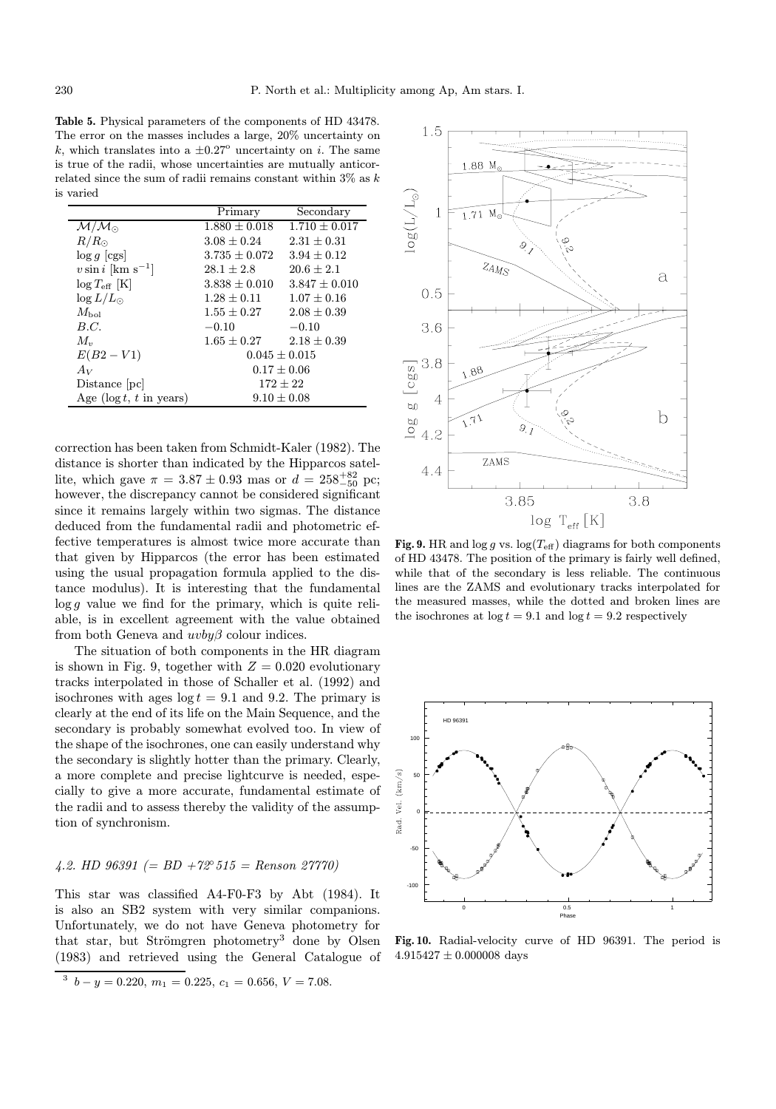Table 5. Physical parameters of the components of HD 43478. The error on the masses includes a large, 20% uncertainty on k, which translates into a  $\pm 0.27^{\circ}$  uncertainty on i. The same is true of the radii, whose uncertainties are mutually anticorrelated since the sum of radii remains constant within  $3\%$  as  $k$ is varied

|                                   | Primary           | Secondary         |
|-----------------------------------|-------------------|-------------------|
| $\mathcal{M}/\mathcal{M}_{\odot}$ | $1.880 \pm 0.018$ | $1.710 + 0.017$   |
| $R/R_{\odot}$                     | $3.08 + 0.24$     | $2.31 + 0.31$     |
| $\log g$ [cgs]                    | $3.735 + 0.072$   | $3.94 + 0.12$     |
| $v \sin i$ [km s <sup>-1</sup> ]  | $28.1 + 2.8$      | $20.6 \pm 2.1$    |
| $\log T_{\rm eff}$ [K]            | $3.838 \pm 0.010$ | $3.847 + 0.010$   |
| $\log L/L_{\odot}$                | $1.28 \pm 0.11$   | $1.07 \pm 0.16$   |
| $M_{\rm bol}$                     | $1.55\pm0.27$     | $2.08 + 0.39$     |
| B.C.                              | $-0.10$           | $-0.10$           |
| $M_{\nu}$                         | $1.65 + 0.27$     | $2.18 \pm 0.39$   |
| $E(B2-V1)$                        |                   | $0.045 \pm 0.015$ |
| Av                                |                   | $0.17 \pm 0.06$   |
| Distance  pc                      |                   | $172 \pm 22$      |
| Age ( $\log t$ , t in years)      |                   | $9.10 \pm 0.08$   |

correction has been taken from Schmidt-Kaler (1982). The distance is shorter than indicated by the Hipparcos satellite, which gave  $\pi = 3.87 \pm 0.93$  mas or  $d = 258^{+82}_{-50}$  pc; however, the discrepancy cannot be considered significant since it remains largely within two sigmas. The distance deduced from the fundamental radii and photometric effective temperatures is almost twice more accurate than that given by Hipparcos (the error has been estimated using the usual propagation formula applied to the distance modulus). It is interesting that the fundamental  $\log g$  value we find for the primary, which is quite reliable, is in excellent agreement with the value obtained from both Geneva and  $uvby\beta$  colour indices.

The situation of both components in the HR diagram is shown in Fig. 9, together with  $Z = 0.020$  evolutionary tracks interpolated in those of Schaller et al. (1992) and isochrones with ages  $log t = 9.1$  and 9.2. The primary is clearly at the end of its life on the Main Sequence, and the secondary is probably somewhat evolved too. In view of the shape of the isochrones, one can easily understand why the secondary is slightly hotter than the primary. Clearly, a more complete and precise lightcurve is needed, especially to give a more accurate, fundamental estimate of the radii and to assess thereby the validity of the assumption of synchronism.

# 4.2. HD 96391 (= BD +72° 515 = Renson 27770)

This star was classified A4-F0-F3 by Abt (1984). It is also an SB2 system with very similar companions. Unfortunately, we do not have Geneva photometry for that star, but Strömgren photometry<sup>3</sup> done by Olsen (1983) and retrieved using the General Catalogue of



Fig. 9. HR and  $\log g$  vs.  $\log(T_{\text{eff}})$  diagrams for both components of HD 43478. The position of the primary is fairly well defined, while that of the secondary is less reliable. The continuous lines are the ZAMS and evolutionary tracks interpolated for the measured masses, while the dotted and broken lines are the isochrones at  $\log t = 9.1$  and  $\log t = 9.2$  respectively



Fig. 10. Radial-velocity curve of HD 96391. The period is  $4.915427 \pm 0.000008$  days

 $3 b - y = 0.220, m_1 = 0.225, c_1 = 0.656, V = 7.08.$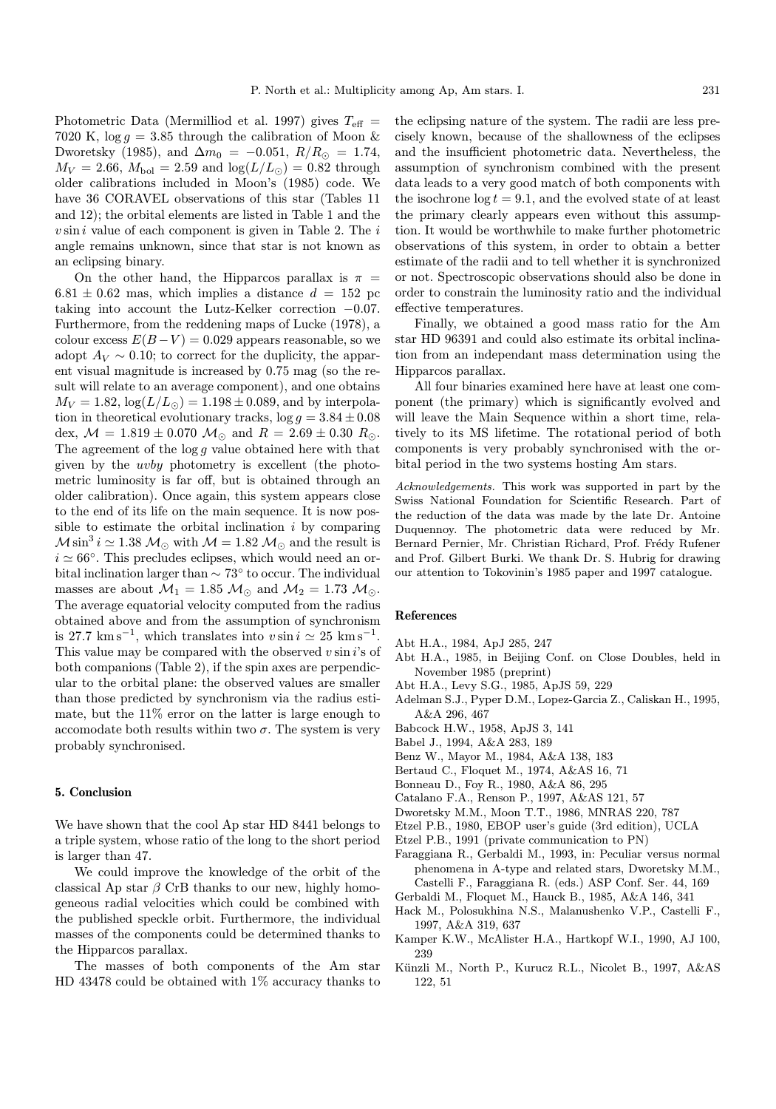Photometric Data (Mermilliod et al. 1997) gives  $T_{\text{eff}} =$ 7020 K,  $\log g = 3.85$  through the calibration of Moon & Dworetsky (1985), and  $\Delta m_0 = -0.051$ ,  $R/R_{\odot} = 1.74$ ,  $M_V = 2.66$ ,  $M_{bol} = 2.59$  and  $log(L/L_{\odot}) = 0.82$  through older calibrations included in Moon's (1985) code. We have 36 CORAVEL observations of this star (Tables 11 and 12); the orbital elements are listed in Table 1 and the  $v \sin i$  value of each component is given in Table 2. The  $i$ angle remains unknown, since that star is not known as an eclipsing binary.

On the other hand, the Hipparcos parallax is  $\pi$  =  $6.81 \pm 0.62$  mas, which implies a distance  $d = 152$  pc taking into account the Lutz-Kelker correction −0.07. Furthermore, from the reddening maps of Lucke (1978), a colour excess  $E(B-V) = 0.029$  appears reasonable, so we adopt  $A_V \sim 0.10$ ; to correct for the duplicity, the apparent visual magnitude is increased by 0.75 mag (so the result will relate to an average component), and one obtains  $M_V = 1.82$ ,  $\log(L/L_{\odot}) = 1.198 \pm 0.089$ , and by interpolation in theoretical evolutionary tracks,  $\log g = 3.84 \pm 0.08$ dex,  $M = 1.819 \pm 0.070$   $M_{\odot}$  and  $R = 2.69 \pm 0.30$   $R_{\odot}$ . The agreement of the  $\log g$  value obtained here with that given by the uvby photometry is excellent (the photometric luminosity is far off, but is obtained through an older calibration). Once again, this system appears close to the end of its life on the main sequence. It is now possible to estimate the orbital inclination  $i$  by comparing  $\mathcal{M} \sin^3 i \simeq 1.38 \mathcal{M}$  with  $\mathcal{M} = 1.82 \mathcal{M}$  and the result is  $i \approx 66°$ . This precludes eclipses, which would need an orbital inclination larger than ∼ 73◦ to occur. The individual masses are about  $\mathcal{M}_1 = 1.85 \mathcal{M}_{\odot}$  and  $\mathcal{M}_2 = 1.73 \mathcal{M}_{\odot}$ . The average equatorial velocity computed from the radius obtained above and from the assumption of synchronism is 27.7 km s<sup>−1</sup>, which translates into  $v \sin i \simeq 25$  km s<sup>−1</sup>. This value may be compared with the observed  $v \sin i$ 's of both companions (Table 2), if the spin axes are perpendicular to the orbital plane: the observed values are smaller than those predicted by synchronism via the radius estimate, but the 11% error on the latter is large enough to accomodate both results within two  $\sigma$ . The system is very probably synchronised.

#### 5. Conclusion

We have shown that the cool Ap star HD 8441 belongs to a triple system, whose ratio of the long to the short period is larger than 47.

We could improve the knowledge of the orbit of the classical Ap star  $\beta$  CrB thanks to our new, highly homogeneous radial velocities which could be combined with the published speckle orbit. Furthermore, the individual masses of the components could be determined thanks to the Hipparcos parallax.

The masses of both components of the Am star HD 43478 could be obtained with 1% accuracy thanks to the eclipsing nature of the system. The radii are less precisely known, because of the shallowness of the eclipses and the insufficient photometric data. Nevertheless, the assumption of synchronism combined with the present data leads to a very good match of both components with the isochrone  $\log t = 9.1$ , and the evolved state of at least the primary clearly appears even without this assumption. It would be worthwhile to make further photometric observations of this system, in order to obtain a better estimate of the radii and to tell whether it is synchronized or not. Spectroscopic observations should also be done in order to constrain the luminosity ratio and the individual effective temperatures.

Finally, we obtained a good mass ratio for the Am star HD 96391 and could also estimate its orbital inclination from an independant mass determination using the Hipparcos parallax.

All four binaries examined here have at least one component (the primary) which is significantly evolved and will leave the Main Sequence within a short time, relatively to its MS lifetime. The rotational period of both components is very probably synchronised with the orbital period in the two systems hosting Am stars.

Acknowledgements. This work was supported in part by the Swiss National Foundation for Scientific Research. Part of the reduction of the data was made by the late Dr. Antoine Duquennoy. The photometric data were reduced by Mr. Bernard Pernier, Mr. Christian Richard, Prof. Frédy Rufener and Prof. Gilbert Burki. We thank Dr. S. Hubrig for drawing our attention to Tokovinin's 1985 paper and 1997 catalogue.

#### References

- Abt H.A., 1984, ApJ 285, 247
- Abt H.A., 1985, in Beijing Conf. on Close Doubles, held in November 1985 (preprint)
- Abt H.A., Levy S.G., 1985, ApJS 59, 229
- Adelman S.J., Pyper D.M., Lopez-Garcia Z., Caliskan H., 1995, A&A 296, 467
- Babcock H.W., 1958, ApJS 3, 141
- Babel J., 1994, A&A 283, 189
- Benz W., Mayor M., 1984, A&A 138, 183
- Bertaud C., Floquet M., 1974, A&AS 16, 71
- Bonneau D., Foy R., 1980, A&A 86, 295
- Catalano F.A., Renson P., 1997, A&AS 121, 57
- Dworetsky M.M., Moon T.T., 1986, MNRAS 220, 787
- Etzel P.B., 1980, EBOP user's guide (3rd edition), UCLA
- Etzel P.B., 1991 (private communication to PN)
- Faraggiana R., Gerbaldi M., 1993, in: Peculiar versus normal phenomena in A-type and related stars, Dworetsky M.M., Castelli F., Faraggiana R. (eds.) ASP Conf. Ser. 44, 169
- Gerbaldi M., Floquet M., Hauck B., 1985, A&A 146, 341
- Hack M., Polosukhina N.S., Malanushenko V.P., Castelli F., 1997, A&A 319, 637
- Kamper K.W., McAlister H.A., Hartkopf W.I., 1990, AJ 100, 239
- Künzli M., North P., Kurucz R.L., Nicolet B., 1997, A&AS 122, 51